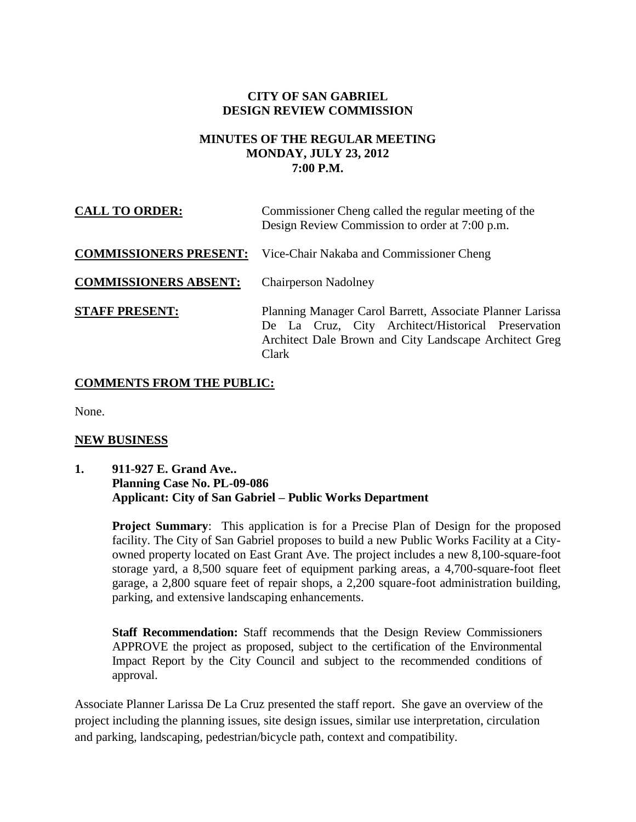## **CITY OF SAN GABRIEL DESIGN REVIEW COMMISSION**

#### **MINUTES OF THE REGULAR MEETING MONDAY, JULY 23, 2012 7:00 P.M.**

| <b>CALL TO ORDER:</b>         | Commissioner Cheng called the regular meeting of the<br>Design Review Commission to order at 7:00 p.m.                                                                             |
|-------------------------------|------------------------------------------------------------------------------------------------------------------------------------------------------------------------------------|
| <b>COMMISSIONERS PRESENT:</b> | Vice-Chair Nakaba and Commissioner Cheng                                                                                                                                           |
| <b>COMMISSIONERS ABSENT:</b>  | <b>Chairperson Nadolney</b>                                                                                                                                                        |
| <b>STAFF PRESENT:</b>         | Planning Manager Carol Barrett, Associate Planner Larissa<br>De La Cruz, City Architect/Historical Preservation<br>Architect Dale Brown and City Landscape Architect Greg<br>Clark |

## **COMMENTS FROM THE PUBLIC:**

None.

#### **NEW BUSINESS**

**1. 911-927 E. Grand Ave.. Planning Case No. PL-09-086 Applicant: City of San Gabriel – Public Works Department**

> **Project Summary:** This application is for a Precise Plan of Design for the proposed facility. The City of San Gabriel proposes to build a new Public Works Facility at a Cityowned property located on East Grant Ave. The project includes a new 8,100-square-foot storage yard, a 8,500 square feet of equipment parking areas, a 4,700-square-foot fleet garage, a 2,800 square feet of repair shops, a 2,200 square-foot administration building, parking, and extensive landscaping enhancements.

**Staff Recommendation:** Staff recommends that the Design Review Commissioners APPROVE the project as proposed, subject to the certification of the Environmental Impact Report by the City Council and subject to the recommended conditions of approval.

Associate Planner Larissa De La Cruz presented the staff report. She gave an overview of the project including the planning issues, site design issues, similar use interpretation, circulation and parking, landscaping, pedestrian/bicycle path, context and compatibility.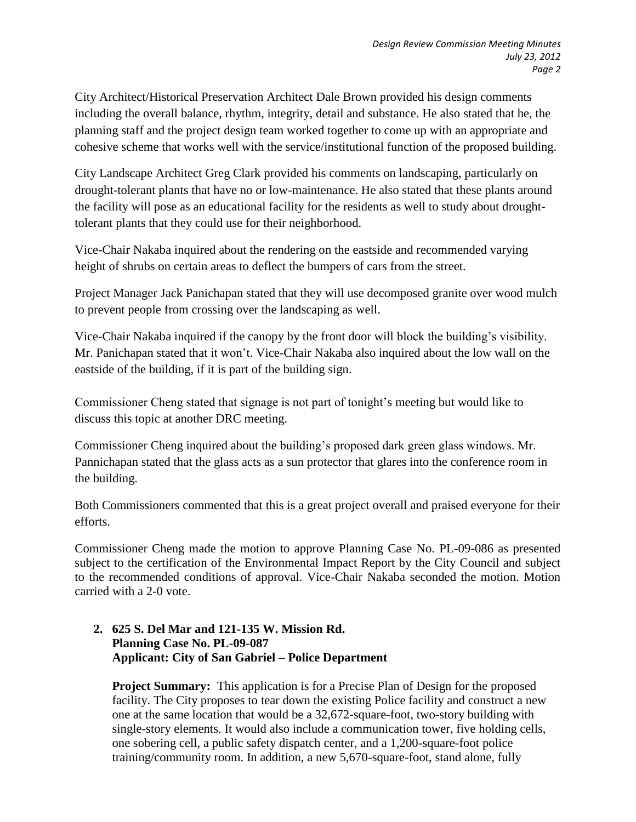City Architect/Historical Preservation Architect Dale Brown provided his design comments including the overall balance, rhythm, integrity, detail and substance. He also stated that he, the planning staff and the project design team worked together to come up with an appropriate and cohesive scheme that works well with the service/institutional function of the proposed building.

City Landscape Architect Greg Clark provided his comments on landscaping, particularly on drought-tolerant plants that have no or low-maintenance. He also stated that these plants around the facility will pose as an educational facility for the residents as well to study about droughttolerant plants that they could use for their neighborhood.

Vice-Chair Nakaba inquired about the rendering on the eastside and recommended varying height of shrubs on certain areas to deflect the bumpers of cars from the street.

Project Manager Jack Panichapan stated that they will use decomposed granite over wood mulch to prevent people from crossing over the landscaping as well.

Vice-Chair Nakaba inquired if the canopy by the front door will block the building's visibility. Mr. Panichapan stated that it won't. Vice-Chair Nakaba also inquired about the low wall on the eastside of the building, if it is part of the building sign.

Commissioner Cheng stated that signage is not part of tonight's meeting but would like to discuss this topic at another DRC meeting.

Commissioner Cheng inquired about the building's proposed dark green glass windows. Mr. Pannichapan stated that the glass acts as a sun protector that glares into the conference room in the building.

Both Commissioners commented that this is a great project overall and praised everyone for their efforts.

Commissioner Cheng made the motion to approve Planning Case No. PL-09-086 as presented subject to the certification of the Environmental Impact Report by the City Council and subject to the recommended conditions of approval. Vice-Chair Nakaba seconded the motion. Motion carried with a 2-0 vote.

## **2. 625 S. Del Mar and 121-135 W. Mission Rd. Planning Case No. PL-09-087 Applicant: City of San Gabriel – Police Department**

**Project Summary:** This application is for a Precise Plan of Design for the proposed facility. The City proposes to tear down the existing Police facility and construct a new one at the same location that would be a 32,672-square-foot, two-story building with single-story elements. It would also include a communication tower, five holding cells, one sobering cell, a public safety dispatch center, and a 1,200-square-foot police training/community room. In addition, a new 5,670-square-foot, stand alone, fully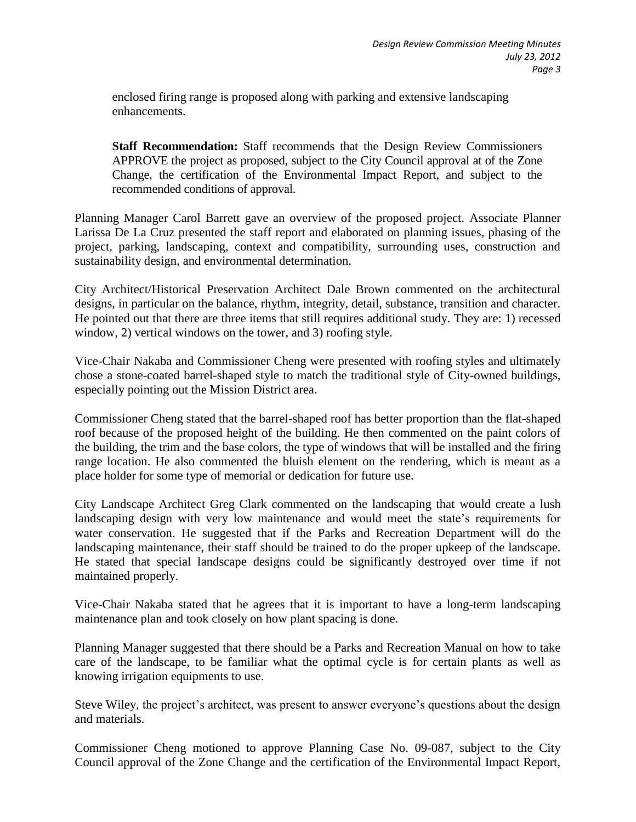enclosed firing range is proposed along with parking and extensive landscaping enhancements.

**Staff Recommendation:** Staff recommends that the Design Review Commissioners APPROVE the project as proposed, subject to the City Council approval at of the Zone Change, the certification of the Environmental Impact Report, and subject to the recommended conditions of approval.

Planning Manager Carol Barrett gave an overview of the proposed project. Associate Planner Larissa De La Cruz presented the staff report and elaborated on planning issues, phasing of the project, parking, landscaping, context and compatibility, surrounding uses, construction and sustainability design, and environmental determination.

City Architect/Historical Preservation Architect Dale Brown commented on the architectural designs, in particular on the balance, rhythm, integrity, detail, substance, transition and character. He pointed out that there are three items that still requires additional study. They are: 1) recessed window, 2) vertical windows on the tower, and 3) roofing style.

Vice-Chair Nakaba and Commissioner Cheng were presented with roofing styles and ultimately chose a stone-coated barrel-shaped style to match the traditional style of City-owned buildings, especially pointing out the Mission District area.

Commissioner Cheng stated that the barrel-shaped roof has better proportion than the flat-shaped roof because of the proposed height of the building. He then commented on the paint colors of the building, the trim and the base colors, the type of windows that will be installed and the firing range location. He also commented the bluish element on the rendering, which is meant as a place holder for some type of memorial or dedication for future use.

City Landscape Architect Greg Clark commented on the landscaping that would create a lush landscaping design with very low maintenance and would meet the state's requirements for water conservation. He suggested that if the Parks and Recreation Department will do the landscaping maintenance, their staff should be trained to do the proper upkeep of the landscape. He stated that special landscape designs could be significantly destroyed over time if not maintained properly.

Vice-Chair Nakaba stated that he agrees that it is important to have a long-term landscaping maintenance plan and took closely on how plant spacing is done.

Planning Manager suggested that there should be a Parks and Recreation Manual on how to take care of the landscape, to be familiar what the optimal cycle is for certain plants as well as knowing irrigation equipments to use.

Steve Wiley, the project's architect, was present to answer everyone's questions about the design and materials.

Commissioner Cheng motioned to approve Planning Case No. 09-087, subject to the City Council approval of the Zone Change and the certification of the Environmental Impact Report,